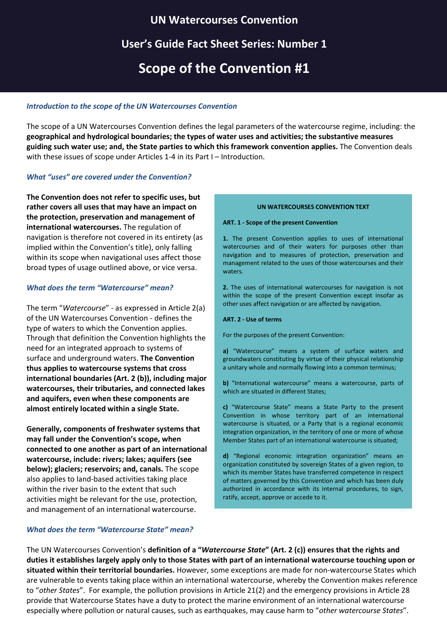# **UN Watercourses Convention**

# **User's Guide Fact Sheet Series: Number 1**

# **Scope of the Convention #1**

## *Introduction to the scope of the UN Watercourses Convention*

The scope of a UN Watercourses Convention defines the legal parameters of the watercourse regime, including: the **geographical and hydrological boundaries; the types of water uses and activities; the substantive measures guiding such water use; and, the State parties to which this framework convention applies.** The Convention deals with these issues of scope under Articles 1-4 in its Part I – Introduction.

### *What "uses" are covered under the Convention?*

**The Convention does not refer to specific uses, but rather covers all uses that may have an impact on the protection, preservation and management of international watercourses.** The regulation of navigation is therefore not covered in its entirety (as implied within the Convention's title), only falling within its scope when navigational uses affect those broad types of usage outlined above, or vice versa.

### *What does the term "Watercourse" mean?*

The term "*Watercourse*" - as expressed in Article 2(a) of the UN Watercourses Convention - defines the type of waters to which the Convention applies. Through that definition the Convention highlights the need for an integrated approach to systems of surface and underground waters. **The Convention thus applies to watercourse systems that cross international boundaries (Art. 2 (b)), including major watercourses, their tributaries, and connected lakes and aquifers, even when these components are almost entirely located within a single State.**

**Generally, components of freshwater systems that may fall under the Convention's scope, when connected to one another as part of an international watercourse, include: rivers; lakes; aquifers (see below); glaciers; reservoirs; and, canals.** The scope also applies to land-based activities taking place within the river basin to the extent that such activities might be relevant for the use, protection, and management of an international watercourse.

#### **UN WATERCOURSES CONVENTION TEXT**

#### **ART. 1 - Scope of the present Convention**

**1.** The present Convention applies to uses of international watercourses and of their waters for purposes other than navigation and to measures of protection, preservation and management related to the uses of those watercourses and their waters.

**2.** The uses of international watercourses for navigation is not within the scope of the present Convention except insofar as other uses affect navigation or are affected by navigation.

#### **ART. 2 - Use of terms**

For the purposes of the present Convention:

**a)** "Watercourse" means a system of surface waters and groundwaters constituting by virtue of their physical relationship a unitary whole and normally flowing into a common terminus;

**b)** "International watercourse" means a watercourse, parts of which are situated in different States;

**c)** "Watercourse State" means a State Party to the present Convention in whose territory part of an international watercourse is situated, or a Party that is a regional economic integration organization, in the territory of one or more of whose Member States part of an international watercourse is situated;

**d)** "Regional economic integration organization" means an organization constituted by sovereign States of a given region, to which its member States have transferred competence in respect of matters governed by this Convention and which has been duly authorized in accordance with its internal procedures, to sign, ratify, accept, approve or accede to it.

### *What does the term "Watercourse State" mean?*

The UN Watercourses Convention's **definition of a "***Watercourse State***" (Art. 2 (c)) ensures that the rights and duties it establishes largely apply only to those States with part of an international watercourse touching upon or situated within their territorial boundaries.** However, some exceptions are made for non-watercourse States which are vulnerable to events taking place within an international watercourse, whereby the Convention makes reference to "*other States*". For example, the pollution provisions in Article 21(2) and the emergency provisions in Article 28 provide that Watercourse States have a duty to protect the marine environment of an international watercourse especially where pollution or natural causes, such as earthquakes, may cause harm to "*other watercourse States*".